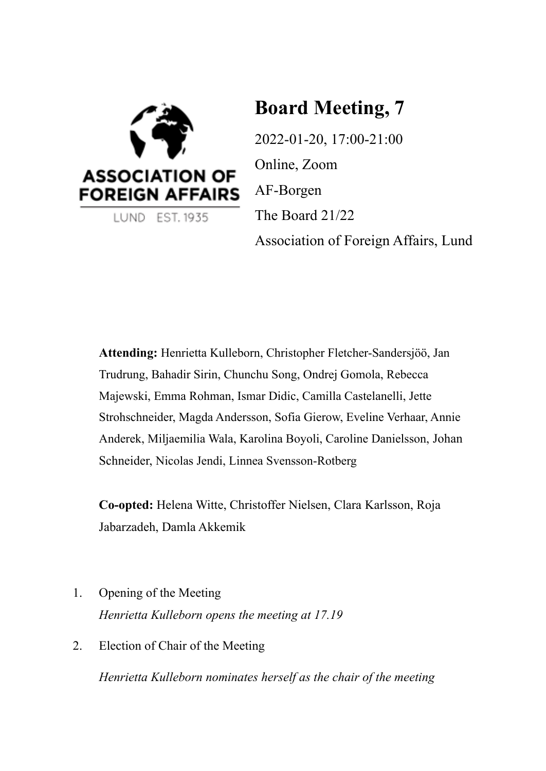

LUND EST. 1935

# **Board Meeting, 7**

2022-01-20, 17:00-21:00 Online, Zoom AF-Borgen The Board 21/22 Association of Foreign Affairs, Lund

**Attending:** Henrietta Kulleborn, Christopher Fletcher-Sandersjöö, Jan Trudrung, Bahadir Sirin, Chunchu Song, Ondrej Gomola, Rebecca Majewski, Emma Rohman, Ismar Didic, Camilla Castelanelli, Jette Strohschneider, Magda Andersson, Sofia Gierow, Eveline Verhaar, Annie Anderek, Miljaemilia Wala, Karolina Boyoli, Caroline Danielsson, Johan Schneider, Nicolas Jendi, Linnea Svensson-Rotberg

**Co-opted:** Helena Witte, Christoffer Nielsen, Clara Karlsson, Roja Jabarzadeh, Damla Akkemik

1. Opening of the Meeting

*Henrietta Kulleborn opens the meeting at 17.19*

2. Election of Chair of the Meeting

*Henrietta Kulleborn nominates herself as the chair of the meeting*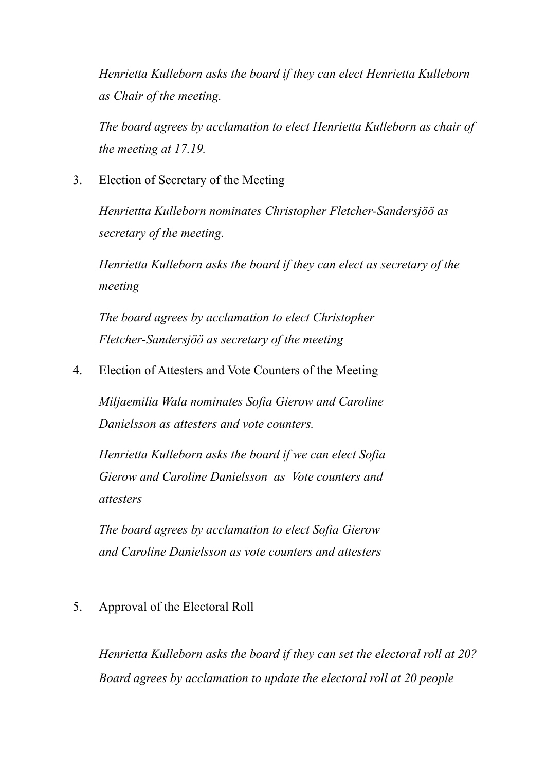*Henrietta Kulleborn asks the board if they can elect Henrietta Kulleborn as Chair of the meeting.*

*The board agrees by acclamation to elect Henrietta Kulleborn as chair of the meeting at 17.19.*

3. Election of Secretary of the Meeting

*Henriettta Kulleborn nominates Christopher Fletcher-Sandersjöö as secretary of the meeting.*

*Henrietta Kulleborn asks the board if they can elect as secretary of the meeting*

*The board agrees by acclamation to elect Christopher Fletcher-Sandersjöö as secretary of the meeting*

4. Election of Attesters and Vote Counters of the Meeting

*Miljaemilia Wala nominates Sofia Gierow and Caroline Danielsson as attesters and vote counters.*

*Henrietta Kulleborn asks the board if we can elect Sofia Gierow and Caroline Danielsson as Vote counters and attesters*

*The board agrees by acclamation to elect Sofia Gierow and Caroline Danielsson as vote counters and attesters*

## 5. Approval of the Electoral Roll

*Henrietta Kulleborn asks the board if they can set the electoral roll at 20? Board agrees by acclamation to update the electoral roll at 20 people*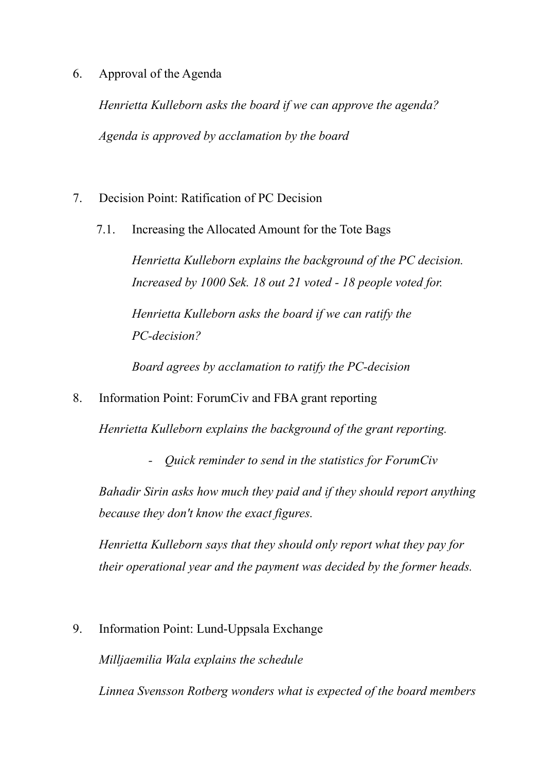## 6. Approval of the Agenda

*Henrietta Kulleborn asks the board if we can approve the agenda? Agenda is approved by acclamation by the board*

- 7. Decision Point: Ratification of PC Decision
	- 7.1. Increasing the Allocated Amount for the Tote Bags

*Henrietta Kulleborn explains the background of the PC decision. Increased by 1000 Sek. 18 out 21 voted - 18 people voted for.*

*Henrietta Kulleborn asks the board if we can ratify the PC-decision?*

*Board agrees by acclamation to ratify the PC-decision*

8. Information Point: ForumCiv and FBA grant reporting

*Henrietta Kulleborn explains the background of the grant reporting.*

*- Quick reminder to send in the statistics for ForumCiv*

*Bahadir Sirin asks how much they paid and if they should report anything because they don't know the exact figures.*

*Henrietta Kulleborn says that they should only report what they pay for their operational year and the payment was decided by the former heads.*

9. Information Point: Lund-Uppsala Exchange

*Milljaemilia Wala explains the schedule*

*Linnea Svensson Rotberg wonders what is expected of the board members*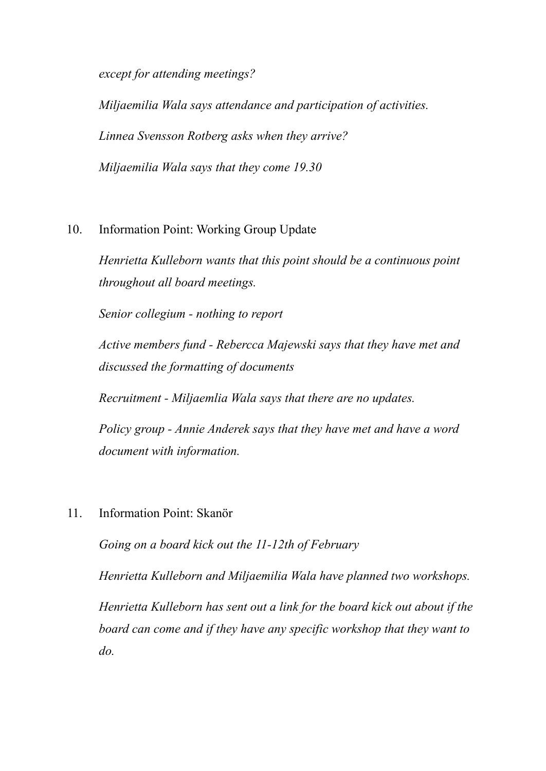*except for attending meetings?*

*Miljaemilia Wala says attendance and participation of activities. Linnea Svensson Rotberg asks when they arrive? Miljaemilia Wala says that they come 19.30*

## 10. Information Point: Working Group Update

*Henrietta Kulleborn wants that this point should be a continuous point throughout all board meetings.*

*Senior collegium - nothing to report*

*Active members fund - Rebercca Majewski says that they have met and discussed the formatting of documents*

*Recruitment - Miljaemlia Wala says that there are no updates.*

*Policy group - Annie Anderek says that they have met and have a word document with information.*

11. Information Point: Skanör

*Going on a board kick out the 11-12th of February*

*Henrietta Kulleborn and Miljaemilia Wala have planned two workshops.*

*Henrietta Kulleborn has sent out a link for the board kick out about if the board can come and if they have any specific workshop that they want to do.*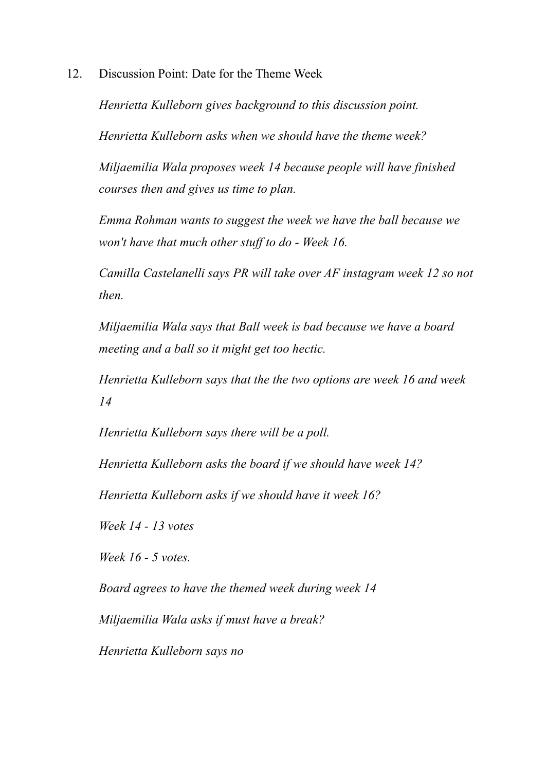12. Discussion Point: Date for the Theme Week

*Henrietta Kulleborn gives background to this discussion point.*

*Henrietta Kulleborn asks when we should have the theme week?*

*Miljaemilia Wala proposes week 14 because people will have finished courses then and gives us time to plan.*

*Emma Rohman wants to suggest the week we have the ball because we won't have that much other stuf to do - Week 16.*

*Camilla Castelanelli says PR will take over AF instagram week 12 so not then.*

*Miljaemilia Wala says that Ball week is bad because we have a board meeting and a ball so it might get too hectic.*

*Henrietta Kulleborn says that the the two options are week 16 and week 14*

*Henrietta Kulleborn says there will be a poll.*

*Henrietta Kulleborn asks the board if we should have week 14?*

*Henrietta Kulleborn asks if we should have it week 16?*

*Week 14 - 13 votes*

*Week 16 - 5 votes.*

*Board agrees to have the themed week during week 14*

*Miljaemilia Wala asks if must have a break?*

*Henrietta Kulleborn says no*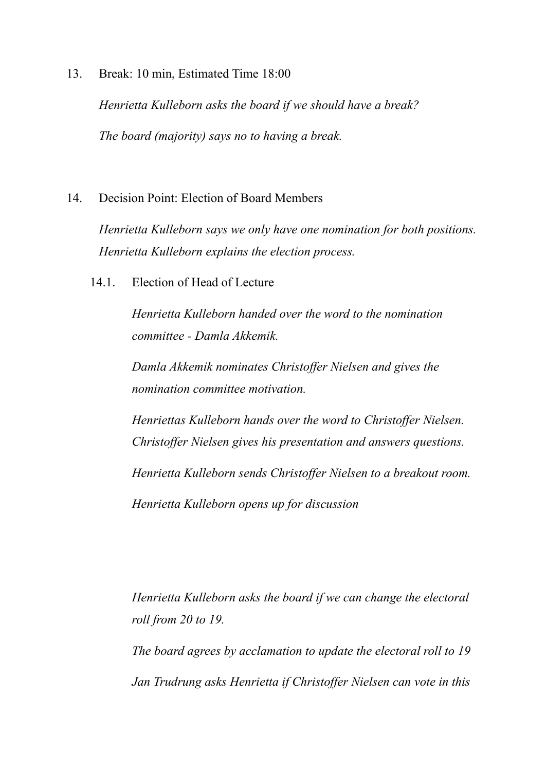13. Break: 10 min, Estimated Time 18:00

*Henrietta Kulleborn asks the board if we should have a break? The board (majority) says no to having a break.*

14. Decision Point: Election of Board Members

*Henrietta Kulleborn says we only have one nomination for both positions. Henrietta Kulleborn explains the election process.*

14.1. Election of Head of Lecture

*Henrietta Kulleborn handed over the word to the nomination committee - Damla Akkemik.*

*Damla Akkemik nominates Christof er Nielsen and gives the nomination committee motivation.*

*Henriettas Kulleborn hands over the word to Christof er Nielsen. Christoffer Nielsen gives his presentation and answers questions. Henrietta Kulleborn sends Christof er Nielsen to a breakout room. Henrietta Kulleborn opens up for discussion*

*Henrietta Kulleborn asks the board if we can change the electoral roll from 20 to 19.*

*The board agrees by acclamation to update the electoral roll to 19 Jan Trudrung asks Henrietta if Christof er Nielsen can vote in this*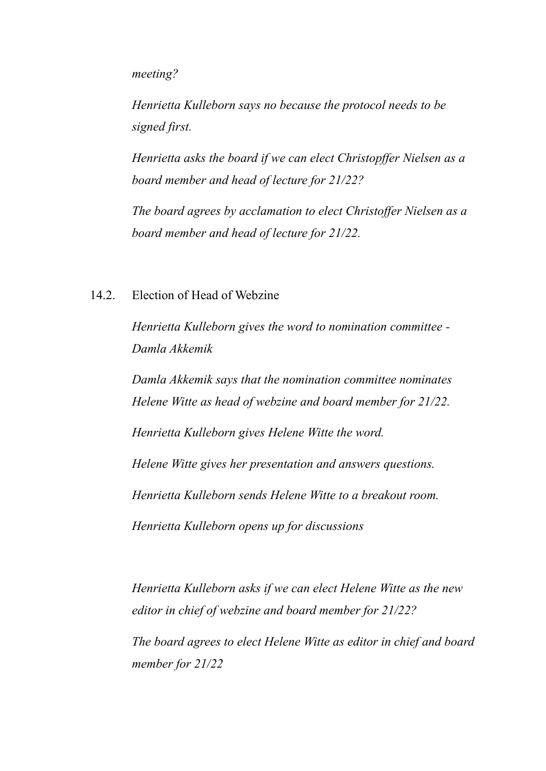*meeting?*

*Henrietta Kulleborn says no because the protocol needs to be signed first.*

*Henrietta asks the board if we can elect Christopffer Nielsen as a board member and head of lecture for 21/22?*

*The board agrees by acclamation to elect Christof er Nielsen as a board member and head of lecture for 21/22.*

#### 14.2. Election of Head of Webzine

*Henrietta Kulleborn gives the word to nomination committee - Damla Akkemik*

*Damla Akkemik says that the nomination committee nominates Helene Witte as head of webzine and board member for 21/22.*

*Henrietta Kulleborn gives Helene Witte the word.*

*Helene Witte gives her presentation and answers questions.*

*Henrietta Kulleborn sends Helene Witte to a breakout room.*

*Henrietta Kulleborn opens up for discussions*

*Henrietta Kulleborn asks if we can elect Helene Witte as the new editor in chief of webzine and board member for 21/22?*

*The board agrees to elect Helene Witte as editor in chief and board member for 21/22*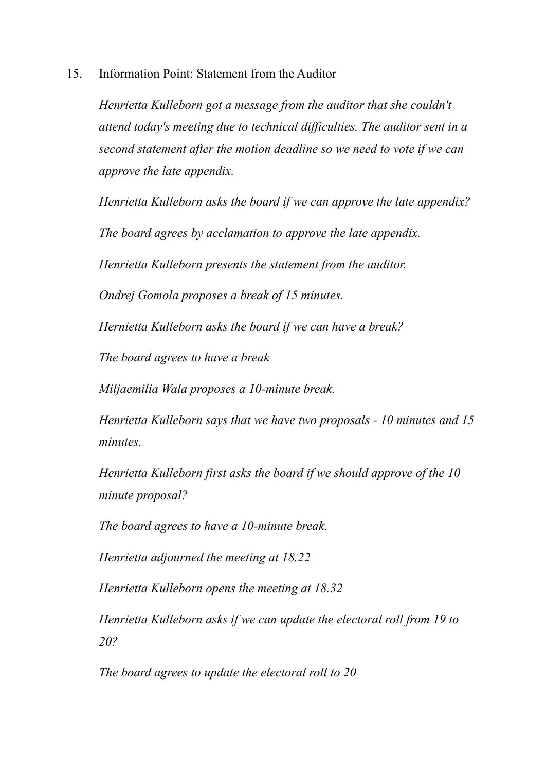15. Information Point: Statement from the Auditor

*Henrietta Kulleborn got a message from the auditor that she couldn't attend today's meeting due to technical dif iculties. The auditor sent in a second statement after the motion deadline so we need to vote if we can approve the late appendix.*

*Henrietta Kulleborn asks the board if we can approve the late appendix?*

*The board agrees by acclamation to approve the late appendix.*

*Henrietta Kulleborn presents the statement from the auditor.*

*Ondrej Gomola proposes a break of 15 minutes.*

*Hernietta Kulleborn asks the board if we can have a break?*

*The board agrees to have a break*

*Miljaemilia Wala proposes a 10-minute break.*

*Henrietta Kulleborn says that we have two proposals - 10 minutes and 15 minutes.*

*Henrietta Kulleborn first asks the board if we should approve of the 10 minute proposal?*

*The board agrees to have a 10-minute break.*

*Henrietta adjourned the meeting at 18.22*

*Henrietta Kulleborn opens the meeting at 18.32*

*Henrietta Kulleborn asks if we can update the electoral roll from 19 to 20?*

*The board agrees to update the electoral roll to 20*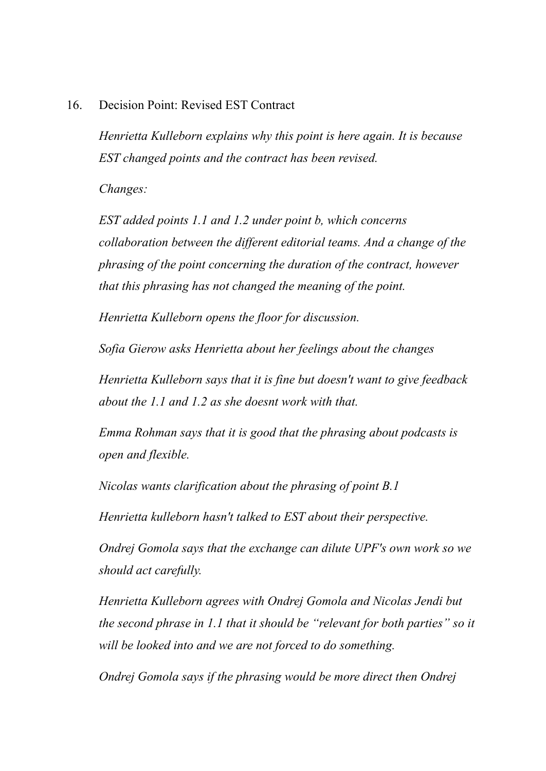#### 16. Decision Point: Revised EST Contract

*Henrietta Kulleborn explains why this point is here again. It is because EST changed points and the contract has been revised.*

*Changes:*

*EST added points 1.1 and 1.2 under point b, which concerns collaboration between the dif erent editorial teams. And a change of the phrasing of the point concerning the duration of the contract, however that this phrasing has not changed the meaning of the point.*

*Henrietta Kulleborn opens the floor for discussion.*

*Sofia Gierow asks Henrietta about her feelings about the changes*

*Henrietta Kulleborn says that it is fine but doesn't want to give feedback about the 1.1 and 1.2 as she doesnt work with that.*

*Emma Rohman says that it is good that the phrasing about podcasts is open and flexible.*

*Nicolas wants clarification about the phrasing of point B.1*

*Henrietta kulleborn hasn't talked to EST about their perspective.*

*Ondrej Gomola says that the exchange can dilute UPF's own work so we should act carefully.*

*Henrietta Kulleborn agrees with Ondrej Gomola and Nicolas Jendi but the second phrase in 1.1 that it should be "relevant for both parties" so it will be looked into and we are not forced to do something.*

*Ondrej Gomola says if the phrasing would be more direct then Ondrej*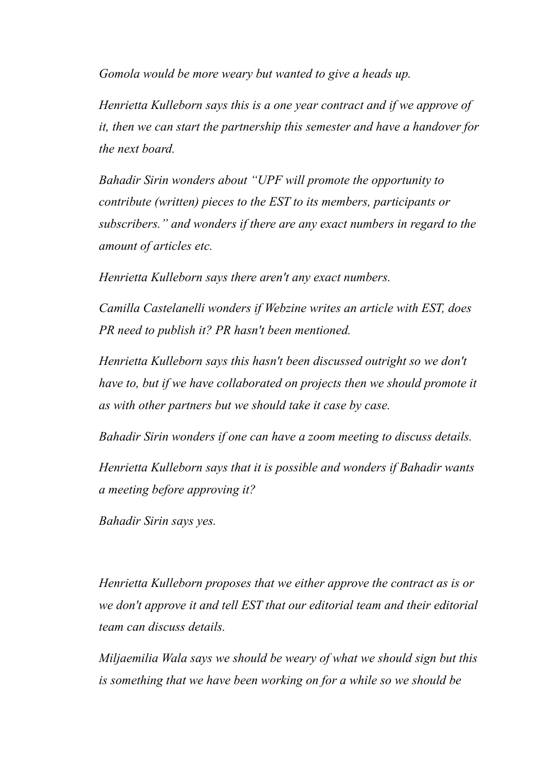*Gomola would be more weary but wanted to give a heads up.*

*Henrietta Kulleborn says this is a one year contract and if we approve of it, then we can start the partnership this semester and have a handover for the next board.*

*Bahadir Sirin wonders about "UPF will promote the opportunity to contribute (written) pieces to the EST to its members, participants or subscribers." and wonders if there are any exact numbers in regard to the amount of articles etc.*

*Henrietta Kulleborn says there aren't any exact numbers.*

*Camilla Castelanelli wonders if Webzine writes an article with EST, does PR need to publish it? PR hasn't been mentioned.*

*Henrietta Kulleborn says this hasn't been discussed outright so we don't have to, but if we have collaborated on projects then we should promote it as with other partners but we should take it case by case.*

*Bahadir Sirin wonders if one can have a zoom meeting to discuss details.*

*Henrietta Kulleborn says that it is possible and wonders if Bahadir wants a meeting before approving it?*

*Bahadir Sirin says yes.*

*Henrietta Kulleborn proposes that we either approve the contract as is or we don't approve it and tell EST that our editorial team and their editorial team can discuss details.*

*Miljaemilia Wala says we should be weary of what we should sign but this is something that we have been working on for a while so we should be*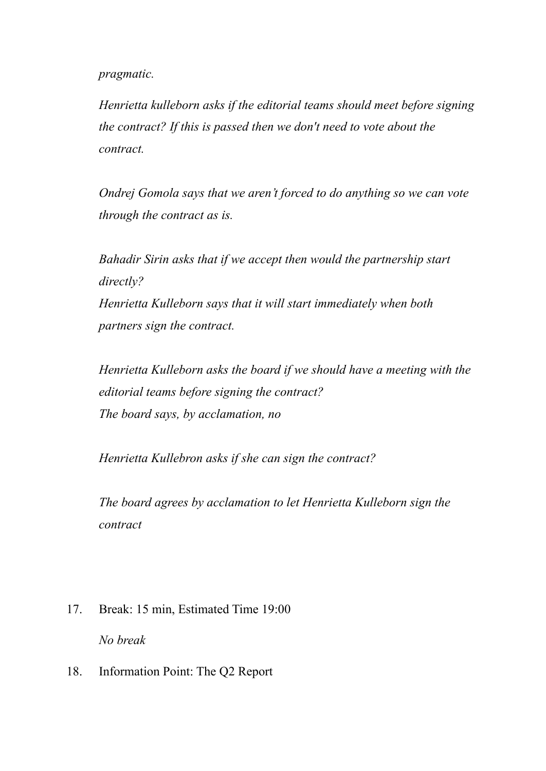#### *pragmatic.*

*Henrietta kulleborn asks if the editorial teams should meet before signing the contract? If this is passed then we don't need to vote about the contract.*

*Ondrej Gomola says that we aren't forced to do anything so we can vote through the contract as is.*

*Bahadir Sirin asks that if we accept then would the partnership start directly? Henrietta Kulleborn says that it will start immediately when both*

*partners sign the contract.*

*Henrietta Kulleborn asks the board if we should have a meeting with the editorial teams before signing the contract? The board says, by acclamation, no*

*Henrietta Kullebron asks if she can sign the contract?*

*The board agrees by acclamation to let Henrietta Kulleborn sign the contract*

- 17. Break: 15 min, Estimated Time 19:00 *No break*
- 18. Information Point: The Q2 Report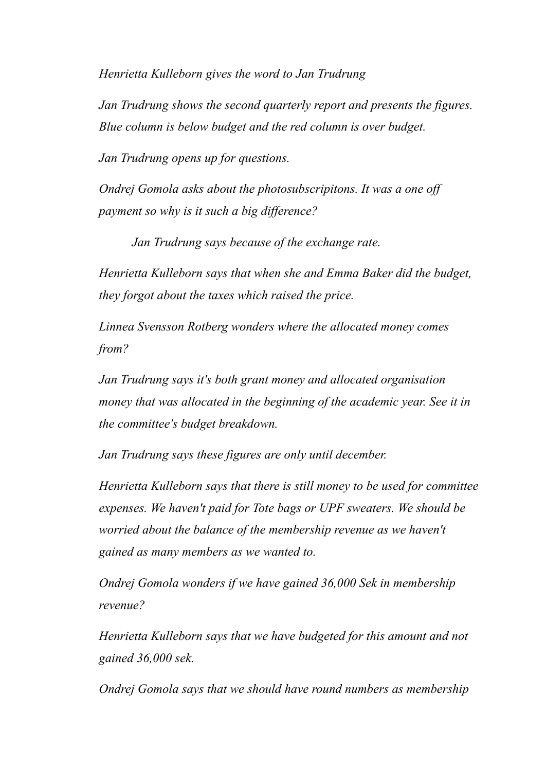*Henrietta Kulleborn gives the word to Jan Trudrung*

*Jan Trudrung shows the second quarterly report and presents the figures. Blue column is below budget and the red column is over budget.*

*Jan Trudrung opens up for questions.*

*Ondrej Gomola asks about the photosubscripitons. It was a one of payment so why is it such a big dif erence?*

*Jan Trudrung says because of the exchange rate.*

*Henrietta Kulleborn says that when she and Emma Baker did the budget, they forgot about the taxes which raised the price.*

*Linnea Svensson Rotberg wonders where the allocated money comes from?*

*Jan Trudrung says it's both grant money and allocated organisation money that was allocated in the beginning of the academic year. See it in the committee's budget breakdown.*

*Jan Trudrung says these figures are only until december.*

*Henrietta Kulleborn says that there is still money to be used for committee expenses. We haven't paid for Tote bags or UPF sweaters. We should be worried about the balance of the membership revenue as we haven't gained as many members as we wanted to.*

*Ondrej Gomola wonders if we have gained 36,000 Sek in membership revenue?*

*Henrietta Kulleborn says that we have budgeted for this amount and not gained 36,000 sek.*

*Ondrej Gomola says that we should have round numbers as membership*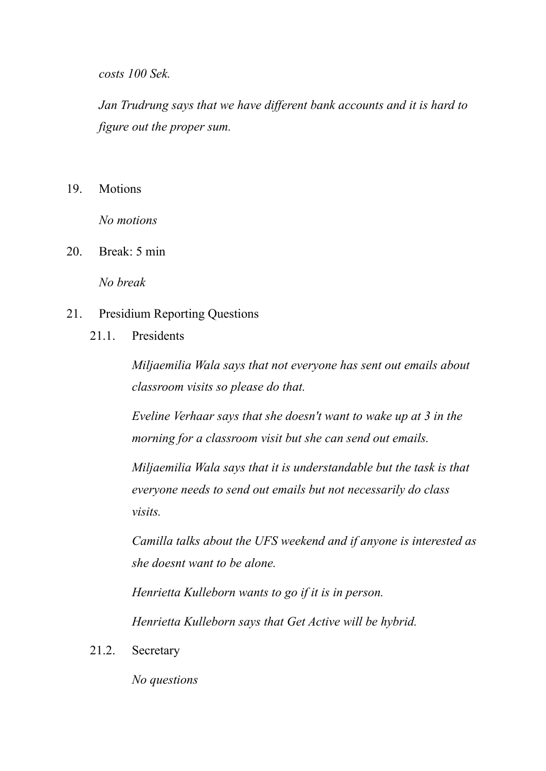*costs 100 Sek.*

*Jan Trudrung says that we have dif erent bank accounts and it is hard to figure out the proper sum.*

19. Motions

*No motions*

20. Break: 5 min

*No break*

- 21. Presidium Reporting Questions
	- 21.1. Presidents

*Miljaemilia Wala says that not everyone has sent out emails about classroom visits so please do that.*

*Eveline Verhaar says that she doesn't want to wake up at 3 in the morning for a classroom visit but she can send out emails.*

*Miljaemilia Wala says that it is understandable but the task is that everyone needs to send out emails but not necessarily do class visits.*

*Camilla talks about the UFS weekend and if anyone is interested as she doesnt want to be alone.*

*Henrietta Kulleborn wants to go if it is in person.*

*Henrietta Kulleborn says that Get Active will be hybrid.*

21.2. Secretary

*No questions*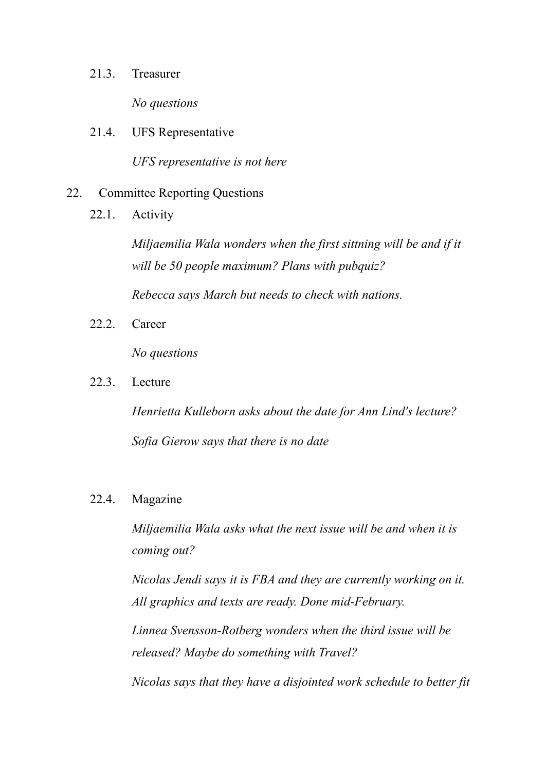#### 21.3. Treasurer

*No questions*

21.4. UFS Representative

*UFS representative is not here*

#### 22. Committee Reporting Questions

22.1. Activity

*Miljaemilia Wala wonders when the first sittning will be and if it will be 50 people maximum? Plans with pubquiz?*

*Rebecca says March but needs to check with nations.*

22.2. Career

*No questions*

22.3. Lecture

*Henrietta Kulleborn asks about the date for Ann Lind's lecture? Sofia Gierow says that there is no date*

#### 22.4. Magazine

*Miljaemilia Wala asks what the next issue will be and when it is coming out?*

*Nicolas Jendi says it is FBA and they are currently working on it. All graphics and texts are ready. Done mid-February.*

*Linnea Svensson-Rotberg wonders when the third issue will be released? Maybe do something with Travel?*

*Nicolas says that they have a disjointed work schedule to better fit*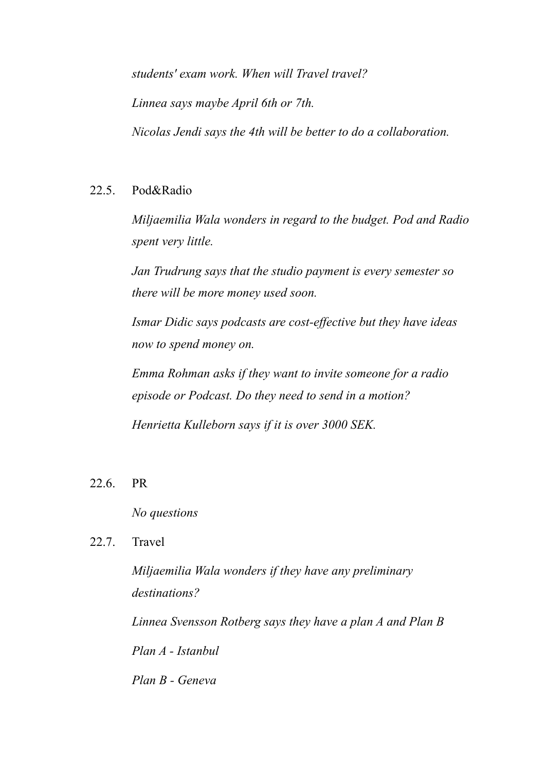*students' exam work. When will Travel travel? Linnea says maybe April 6th or 7th. Nicolas Jendi says the 4th will be better to do a collaboration.*

### 22.5. Pod&Radio

*Miljaemilia Wala wonders in regard to the budget. Pod and Radio spent very little.*

*Jan Trudrung says that the studio payment is every semester so there will be more money used soon.*

*Ismar Didic says podcasts are cost-ef ective but they have ideas now to spend money on.*

*Emma Rohman asks if they want to invite someone for a radio episode or Podcast. Do they need to send in a motion?*

*Henrietta Kulleborn says if it is over 3000 SEK.*

## 22.6. PR

*No questions*

## 22.7. Travel

*Miljaemilia Wala wonders if they have any preliminary destinations?*

*Linnea Svensson Rotberg says they have a plan A and Plan B Plan A - Istanbul*

*Plan B - Geneva*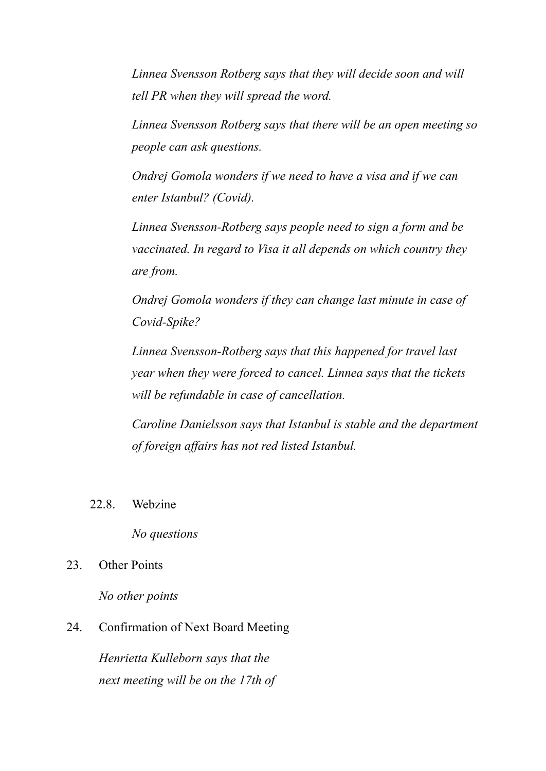*Linnea Svensson Rotberg says that they will decide soon and will tell PR when they will spread the word.*

*Linnea Svensson Rotberg says that there will be an open meeting so people can ask questions.*

*Ondrej Gomola wonders if we need to have a visa and if we can enter Istanbul? (Covid).*

*Linnea Svensson-Rotberg says people need to sign a form and be vaccinated. In regard to Visa it all depends on which country they are from.*

*Ondrej Gomola wonders if they can change last minute in case of Covid-Spike?*

*Linnea Svensson-Rotberg says that this happened for travel last year when they were forced to cancel. Linnea says that the tickets will be refundable in case of cancellation.*

*Caroline Danielsson says that Istanbul is stable and the department of foreign af airs has not red listed Istanbul.*

22.8. Webzine

*No questions*

23. Other Points

*No other points*

#### 24. Confirmation of Next Board Meeting

*Henrietta Kulleborn says that the next meeting will be on the 17th of*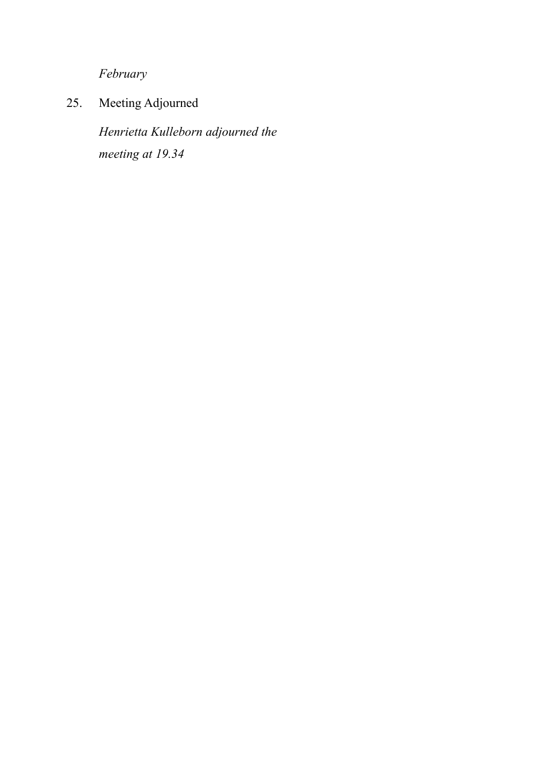*February*

25. Meeting Adjourned

*Henrietta Kulleborn adjourned the meeting at 19.34*